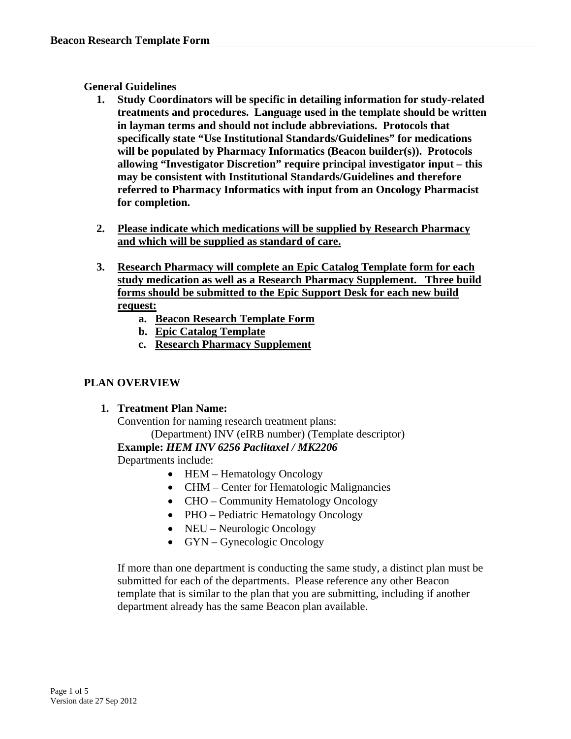### **General Guidelines**

- **1. Study Coordinators will be specific in detailing information for study-related treatments and procedures. Language used in the template should be written in layman terms and should not include abbreviations. Protocols that specifically state "Use Institutional Standards/Guidelines" for medications will be populated by Pharmacy Informatics (Beacon builder(s)). Protocols allowing "Investigator Discretion" require principal investigator input – this may be consistent with Institutional Standards/Guidelines and therefore referred to Pharmacy Informatics with input from an Oncology Pharmacist for completion.**
- **2. Please indicate which medications will be supplied by Research Pharmacy and which will be supplied as standard of care.**
- **3. Research Pharmacy will complete an Epic Catalog Template form for each study medication as well as a Research Pharmacy Supplement. Three build forms should be submitted to the Epic Support Desk for each new build request:** 
	- **a. Beacon Research Template Form**
	- **b. Epic Catalog Template**
	- **c. Research Pharmacy Supplement**

## **PLAN OVERVIEW**

## **1. Treatment Plan Name:**

Convention for naming research treatment plans:

(Department) INV (eIRB number) (Template descriptor)

## **Example:** *HEM INV 6256 Paclitaxel / MK2206*

Departments include:

- HEM Hematology Oncology
- CHM Center for Hematologic Malignancies
- CHO Community Hematology Oncology
- PHO Pediatric Hematology Oncology
- NEU Neurologic Oncology
- GYN Gynecologic Oncology

If more than one department is conducting the same study, a distinct plan must be submitted for each of the departments. Please reference any other Beacon template that is similar to the plan that you are submitting, including if another department already has the same Beacon plan available.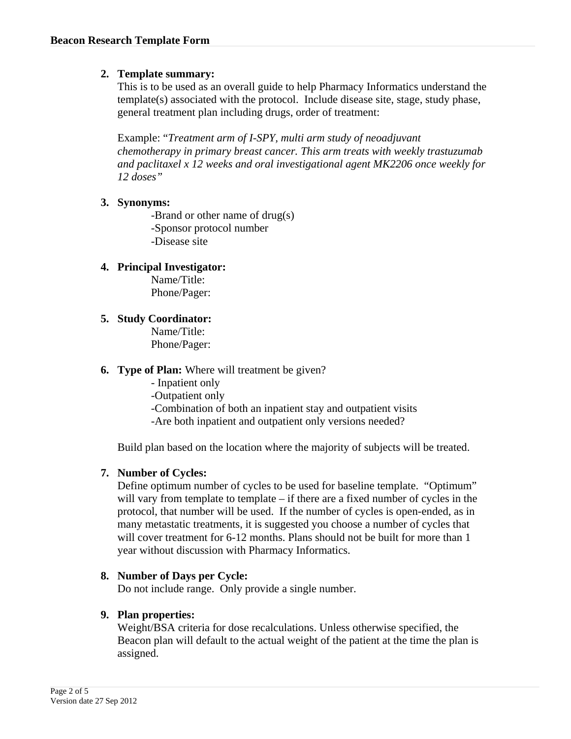# **2. Template summary:**

This is to be used as an overall guide to help Pharmacy Informatics understand the template(s) associated with the protocol. Include disease site, stage, study phase, general treatment plan including drugs, order of treatment:

Example: "*Treatment arm of I-SPY, multi arm study of neoadjuvant chemotherapy in primary breast cancer. This arm treats with weekly trastuzumab and paclitaxel x 12 weeks and oral investigational agent MK2206 once weekly for 12 doses"* 

## **3. Synonyms:**

-Brand or other name of drug(s) -Sponsor protocol number -Disease site

# **4. Principal Investigator:**

Name/Title: Phone/Pager:

# **5. Study Coordinator:**

Name/Title: Phone/Pager:

## **6. Type of Plan:** Where will treatment be given?

- Inpatient only -Outpatient only -Combination of both an inpatient stay and outpatient visits -Are both inpatient and outpatient only versions needed?

Build plan based on the location where the majority of subjects will be treated.

# **7. Number of Cycles:**

Define optimum number of cycles to be used for baseline template. "Optimum" will vary from template to template – if there are a fixed number of cycles in the protocol, that number will be used. If the number of cycles is open-ended, as in many metastatic treatments, it is suggested you choose a number of cycles that will cover treatment for 6-12 months. Plans should not be built for more than 1 year without discussion with Pharmacy Informatics.

## **8. Number of Days per Cycle:**

Do not include range. Only provide a single number.

## **9. Plan properties:**

Weight/BSA criteria for dose recalculations. Unless otherwise specified, the Beacon plan will default to the actual weight of the patient at the time the plan is assigned.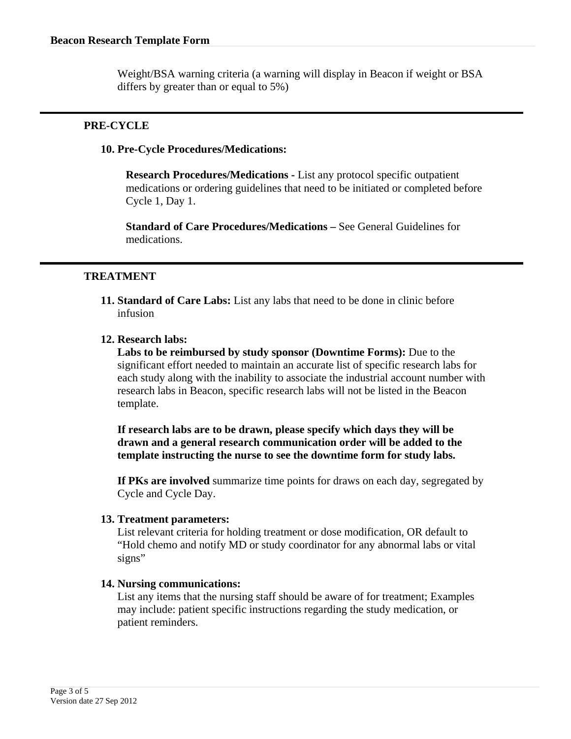Weight/BSA warning criteria (a warning will display in Beacon if weight or BSA differs by greater than or equal to 5%)

### **PRE-CYCLE**

### **10. Pre-Cycle Procedures/Medications:**

**Research Procedures/Medications -** List any protocol specific outpatient medications or ordering guidelines that need to be initiated or completed before Cycle 1, Day 1.

**Standard of Care Procedures/Medications –** See General Guidelines for medications.

### **TREATMENT**

**11. Standard of Care Labs:** List any labs that need to be done in clinic before infusion

### **12. Research labs:**

**Labs to be reimbursed by study sponsor (Downtime Forms):** Due to the significant effort needed to maintain an accurate list of specific research labs for each study along with the inability to associate the industrial account number with research labs in Beacon, specific research labs will not be listed in the Beacon template.

**If research labs are to be drawn, please specify which days they will be drawn and a general research communication order will be added to the template instructing the nurse to see the downtime form for study labs.** 

**If PKs are involved** summarize time points for draws on each day, segregated by Cycle and Cycle Day.

#### **13. Treatment parameters:**

List relevant criteria for holding treatment or dose modification, OR default to "Hold chemo and notify MD or study coordinator for any abnormal labs or vital signs"

#### **14. Nursing communications:**

List any items that the nursing staff should be aware of for treatment; Examples may include: patient specific instructions regarding the study medication, or patient reminders.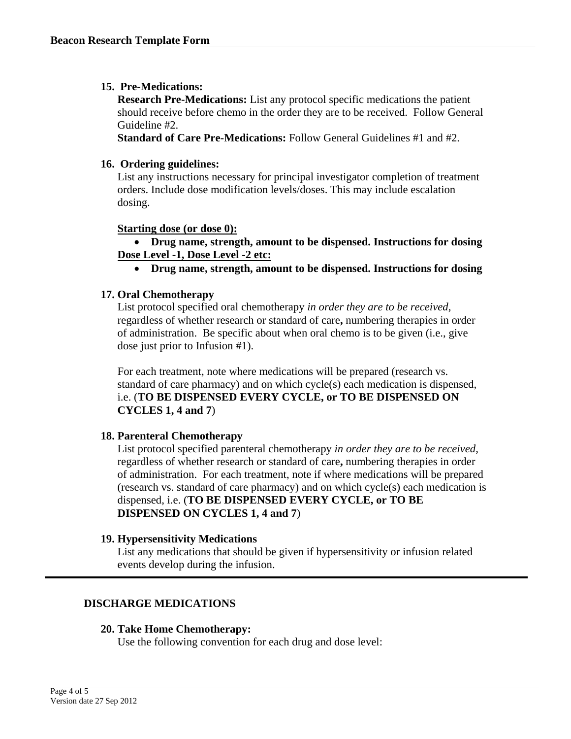### **15. Pre-Medications:**

**Research Pre-Medications:** List any protocol specific medications the patient should receive before chemo in the order they are to be received. Follow General Guideline #2.

**Standard of Care Pre-Medications:** Follow General Guidelines #1 and #2.

#### **16. Ordering guidelines:**

List any instructions necessary for principal investigator completion of treatment orders. Include dose modification levels/doses. This may include escalation dosing.

### **Starting dose (or dose 0):**

• **Drug name, strength, amount to be dispensed. Instructions for dosing Dose Level -1, Dose Level -2 etc:** 

• **Drug name, strength, amount to be dispensed. Instructions for dosing** 

#### **17. Oral Chemotherapy**

List protocol specified oral chemotherapy *in order they are to be received*, regardless of whether research or standard of care**,** numbering therapies in order of administration. Be specific about when oral chemo is to be given (i.e., give dose just prior to Infusion #1).

For each treatment, note where medications will be prepared (research vs. standard of care pharmacy) and on which cycle(s) each medication is dispensed, i.e. (**TO BE DISPENSED EVERY CYCLE, or TO BE DISPENSED ON CYCLES 1, 4 and 7**)

### **18. Parenteral Chemotherapy**

List protocol specified parenteral chemotherapy *in order they are to be received*, regardless of whether research or standard of care**,** numbering therapies in order of administration. For each treatment, note if where medications will be prepared (research vs. standard of care pharmacy) and on which cycle(s) each medication is dispensed, i.e. (**TO BE DISPENSED EVERY CYCLE, or TO BE DISPENSED ON CYCLES 1, 4 and 7**)

#### **19. Hypersensitivity Medications**

List any medications that should be given if hypersensitivity or infusion related events develop during the infusion.

### **DISCHARGE MEDICATIONS**

#### **20. Take Home Chemotherapy:**

Use the following convention for each drug and dose level: